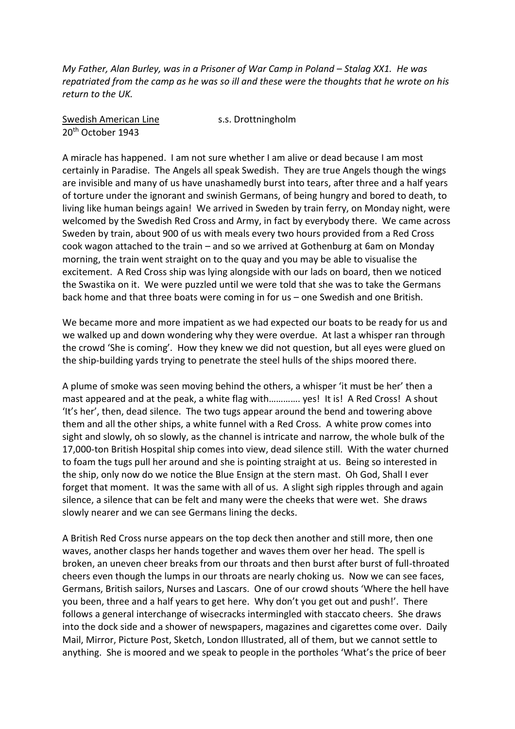*My Father, Alan Burley, was in a Prisoner of War Camp in Poland – Stalag XX1. He was repatriated from the camp as he was so ill and these were the thoughts that he wrote on his return to the UK.*

Swedish American Line s.s. Drottningholm 20th October 1943

A miracle has happened. I am not sure whether I am alive or dead because I am most certainly in Paradise. The Angels all speak Swedish. They are true Angels though the wings are invisible and many of us have unashamedly burst into tears, after three and a half years of torture under the ignorant and swinish Germans, of being hungry and bored to death, to living like human beings again! We arrived in Sweden by train ferry, on Monday night, were welcomed by the Swedish Red Cross and Army, in fact by everybody there. We came across Sweden by train, about 900 of us with meals every two hours provided from a Red Cross cook wagon attached to the train – and so we arrived at Gothenburg at 6am on Monday morning, the train went straight on to the quay and you may be able to visualise the excitement. A Red Cross ship was lying alongside with our lads on board, then we noticed the Swastika on it. We were puzzled until we were told that she was to take the Germans back home and that three boats were coming in for us – one Swedish and one British.

We became more and more impatient as we had expected our boats to be ready for us and we walked up and down wondering why they were overdue. At last a whisper ran through the crowd 'She is coming'. How they knew we did not question, but all eyes were glued on the ship-building yards trying to penetrate the steel hulls of the ships moored there.

A plume of smoke was seen moving behind the others, a whisper 'it must be her' then a mast appeared and at the peak, a white flag with…………. yes! It is! A Red Cross! A shout 'It's her', then, dead silence. The two tugs appear around the bend and towering above them and all the other ships, a white funnel with a Red Cross. A white prow comes into sight and slowly, oh so slowly, as the channel is intricate and narrow, the whole bulk of the 17,000-ton British Hospital ship comes into view, dead silence still. With the water churned to foam the tugs pull her around and she is pointing straight at us. Being so interested in the ship, only now do we notice the Blue Ensign at the stern mast. Oh God, Shall I ever forget that moment. It was the same with all of us. A slight sigh ripples through and again silence, a silence that can be felt and many were the cheeks that were wet. She draws slowly nearer and we can see Germans lining the decks.

A British Red Cross nurse appears on the top deck then another and still more, then one waves, another clasps her hands together and waves them over her head. The spell is broken, an uneven cheer breaks from our throats and then burst after burst of full-throated cheers even though the lumps in our throats are nearly choking us. Now we can see faces, Germans, British sailors, Nurses and Lascars. One of our crowd shouts 'Where the hell have you been, three and a half years to get here. Why don't you get out and push!'. There follows a general interchange of wisecracks intermingled with staccato cheers. She draws into the dock side and a shower of newspapers, magazines and cigarettes come over. Daily Mail, Mirror, Picture Post, Sketch, London Illustrated, all of them, but we cannot settle to anything. She is moored and we speak to people in the portholes 'What's the price of beer